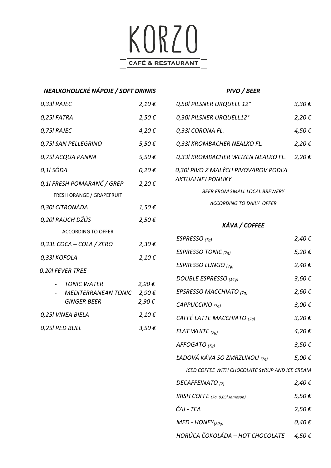

# *NEALKOHOLICKÉ NÁPOJE / SOFT DRINKS*

| 0,331 RAJEC                                                                | 2,10€               |
|----------------------------------------------------------------------------|---------------------|
| 0,251 FATRA                                                                | 2,50€               |
| 0,751 RAJEC                                                                | 4,20€               |
| 0,751 SAN PELLEGRINO                                                       | 5,50€               |
| 0,751 ACQUA PANNA                                                          | 5,50€               |
| 0,1I SÓDA                                                                  | $0,20 \in$          |
| 0,1l FRESH POMARANČ / GREP                                                 | 2,20€               |
| FRESH ORANGE / GRAPEFRUIT                                                  |                     |
| 0,30I CITRONÁDA                                                            | $1,50 \in$          |
| 0,201 RAUCH DŽÚS                                                           | 2,50€               |
| <b>ACCORDING TO OFFER</b>                                                  |                     |
| 0,33L COCA - COLA / ZERO                                                   | 2,30€               |
| 0,331 KOFOLA                                                               | 2,10€               |
| 0,201 FEVER TREE                                                           |                     |
| <b>TONIC WATER</b><br>MEDITERRANEAN TONIC $2,90 \in$<br><b>GINGER BEER</b> | $2,90 \in$<br>2,90€ |
| 0,251 VINEA BIELA                                                          | 2,10€               |
| 0,251 RED BULL                                                             | $3,50 \in$          |

## *PIVO / BEER*

| 0,501 PILSNER URQUELL 12°                                      | $3,30 \in$ |
|----------------------------------------------------------------|------------|
| 0,301 PILSNER URQUELL12°                                       | 2,20€      |
| 0,331 CORONA FL.                                               | 4,50 €     |
| 0,331 KROMBACHER NEALKO FL.                                    | 2,20€      |
| 0,331 KROMBACHER WEIZEN NEALKO FL.                             | 2,20€      |
| 0,301 PIVO Z MALÝCH PIVOVAROV PODĽA<br><b>AKTUÁLNEJ PONUKY</b> |            |

*BEER FROM SMALL LOCAL BREWERY*

*ACCORDING TO DAILY OFFER*

## *KÁVA / COFFEE*

| ESPRESSO <sub>(7g)</sub>                       | 2,40 €          |
|------------------------------------------------|-----------------|
| ESPRESSO TONIC $_{(7q)}$                       | $5,20 \in$      |
| ESPRESSO LUNGO (7q)                            | 2,40€           |
| DOUBLE ESPRESSO (14g)                          | 3,60 $\epsilon$ |
| <b>EPSRESSO MACCHIATO</b> (7g)                 | $2,60 \in$      |
| CAPPUCCINO $(7q)$                              | $3,00 \in$      |
| CAFFÉ LATTE MACCHIATO <sub>(7q)</sub>          | 3,20€           |
| FLAT WHITE $_{(7a)}$                           | 4,20 €          |
| AFFOGATO $(7q)$                                | $3,50 \in$      |
| ĽADOVÁ KÁVA SO ZMRZLINOU <sub>(7g)</sub>       | 5,00€           |
| ICED COFFEE WITH CHOCOLATE SYRUP AND ICE CREAM |                 |
| DECAFFEINATO <sub>(7)</sub>                    | 2,40€           |
| IRISH COFFE (7g, 0,031 Jameson)                | 5,50€           |
| ČAJ - TEA                                      | 2,50€           |
| $MED - HONEY(20q)$                             | 0,40 €          |
| HORÚCA ČOKOLÁDA – HOT CHOCOLATE                | 4,50 €          |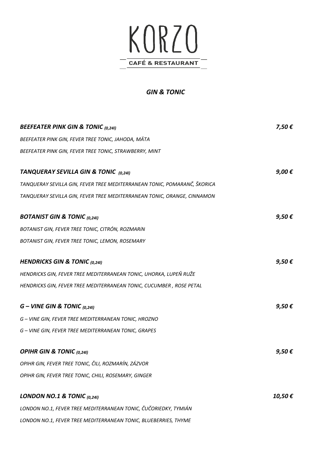

# *GIN & TONIC*

| <b>BEEFEATER PINK GIN &amp; TONIC (0,241)</b>                            | 7,50€  |
|--------------------------------------------------------------------------|--------|
| BEEFEATER PINK GIN, FEVER TREE TONIC, JAHODA, MÄTA                       |        |
| BEEFEATER PINK GIN, FEVER TREE TONIC, STRAWBERRY, MINT                   |        |
| TANQUERAY SEVILLA GIN & TONIC (0,241)                                    | 9,00€  |
| TANQUERAY SEVILLA GIN, FEVER TREE MEDITERRANEAN TONIC, POMARANČ, ŠKORICA |        |
| TANQUERAY SEVILLA GIN, FEVER TREE MEDITERRANEAN TONIC, ORANGE, CINNAMON  |        |
| <b>BOTANIST GIN &amp; TONIC (0,241)</b>                                  | 9,50€  |
| BOTANIST GIN, FEVER TREE TONIC, CITRÓN, ROZMARÍN                         |        |
| BOTANIST GIN, FEVER TREE TONIC, LEMON, ROSEMARY                          |        |
| <b>HENDRICKS GIN &amp; TONIC (0,241)</b>                                 | 9,50€  |
| HENDRICKS GIN, FEVER TREE MEDITERRANEAN TONIC, UHORKA, LUPEŇ RUŽE        |        |
| HENDRICKS GIN, FEVER TREE MEDITERRANEAN TONIC, CUCUMBER, ROSE PETAL      |        |
| $G$ – VINE GIN & TONIC $(0,241)$                                         | 9,50€  |
| G - VINE GIN, FEVER TREE MEDITERRANEAN TONIC, HROZNO                     |        |
| G - VINE GIN, FEVER TREE MEDITERRANEAN TONIC, GRAPES                     |        |
| OPIHR GIN & TONIC (0,241)                                                | 9,50 € |
| OPIHR GIN, FEVER TREE TONIC, ČILI, ROZMARÍN, ZÁZVOR                      |        |
| OPIHR GIN, FEVER TREE TONIC, CHILI, ROSEMARY, GINGER                     |        |
| LONDON NO.1 & TONIC $(0,241)$                                            | 10,50€ |
| LONDON NO.1, FEVER TREE MEDITERRANEAN TONIC, ČUČORIEDKY, TYMIÁN          |        |
| LONDON NO.1, FEVER TREE MEDITERRANEAN TONIC, BLUEBERRIES, THYME          |        |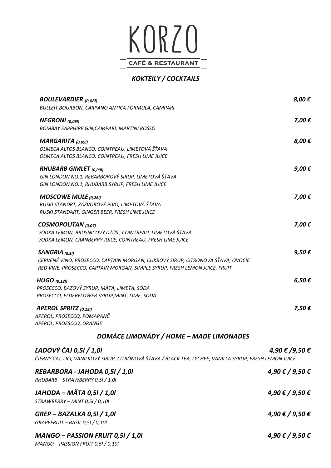

# *KOKTEILY / COCKTAILS*

| <b>BOULEVARDIER</b> (0,081)<br>BULLEIT BOURBON, CARPANO ANTICA FORMULA, CAMPARI                                                                                                | 8,00€                      |
|--------------------------------------------------------------------------------------------------------------------------------------------------------------------------------|----------------------------|
| NEGRONI (0,091)<br>BOMBAY SAPPHIRE GIN, CAMPARI, MARTINI ROSSO                                                                                                                 | 7,00€                      |
| MARGARITA (0,091)<br>OLMECA ALTOS BLANCO, COINTREAU, LIMETOVÁ ŠŤAVA<br>OLMECA ALTOS BLANCO, COINTREAU, FRESH LIME JUICE                                                        | 8,00€                      |
| <b>RHUBARB GIMLET</b> (0,091)<br>GIN LONDON NO.1, REBARBOROVÝ SIRUP, LIMETOVÁ ŠŤAVA<br>GIN LONDON NO.1, RHUBARB SYRUP, FRESH LIME JUICE                                        | 9,00€                      |
| <b>MOSCOWE MULE</b> $(0,261)$<br>RUSKI STANDRT, ZÁZVOROVÉ PIVO, LIMETOVÁ ŠŤAVA<br>RUSKI STANDART, GINGER BEER, FRESH LIME JUICE                                                | 7,00€                      |
| COSMOPOLITAN (0,07)<br>VODKA LEMON, BRUSNICOVÝ DŽÚS, COINTREAU, LIMETOVÁ ŠŤAVA<br>VODKA LEMON, CRANBERRY JUICE, COINTREAU, FRESH LIME JUICE                                    | 7,00€                      |
| SANGRIA (0,51)<br>ČERVENÉ VÍNO, PROSECCO, CAPTAIN MORGAN, CUKROVÝ SIRUP, CITRÓNOVÁ ŠŤAVA, OVOCIE<br>RED VINE, PROSECCO, CAPTAIN MORGAN, SIMPLE SYRUP, FRESH LEMON JUICE, FRUIT | 9,50 €                     |
| HUGO $(0,121)$<br>PROSECCO, BAZOVÝ SYRUP, MÄTA, LIMETA, SÓDA<br>PROSECCO, ELDERFLOWER SYRUP, MINT, LIME, SODA                                                                  | $6,50 \in$                 |
| <b>APEROL SPRITZ</b> (0,181)<br>APEROL, PROSECCO, POMARANČ<br>APEROL, PROESCCO, ORANGE                                                                                         | 7,50€                      |
| <b>DOMÁCE LIMONÁDY / HOME – MADE LIMONADES</b>                                                                                                                                 |                            |
| ĽADOVÝ ČAJ 0,5I / 1,0I<br>ČIERNY ČAJ, LIČI, VANILKOVÝ SIRUP, CITRÓNOVÁ ŠŤAVA / BLACK TEA, LYCHEE, VANILLA SYRUP, FRESH LEMON JUICE                                             | $4,90 \notin /9,50 \notin$ |
| REBARBORA - JAHODA 0,5l / 1,0l<br>RHUBARB - STRAWBERRY 0,51 / 1,01                                                                                                             | 4,90 € / 9,50 €            |
| JAHODA – MÄTA 0,5I / 1,0I<br>STRAWBERRY – MINT 0,5I / 0,10I                                                                                                                    | $4,90 \notin / 9,50 \in$   |
| GREP – BAZALKA 0,5l / 1,0l<br>GRAPEFRUIT - BASIL 0,51 / 0,101                                                                                                                  | 4,90 € / 9,50 €            |
| MANGO – PASSION FRUIT 0,5l / 1,0l<br>MANGO - PASSION FRUIT 0,51 / 0,101                                                                                                        | $4,90 \notin / 9,50 \in$   |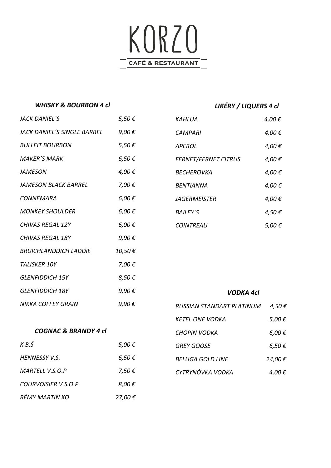

#### *WHISKY & BOURBON 4 cl*

*LIKÉRY / LIQUERS 4 cl*

| JACK DANIEL'S               | 5,50€  |
|-----------------------------|--------|
| JACK DANIEL'S SINGLE BARREL | 9,00 € |
| <b>BULLEIT BOURBON</b>      | 5,50€  |
| <b>MAKER'S MARK</b>         | 6,50€  |
| JAMESON                     | 4,00 € |
| JAMESON BLACK BARREL        | 7,00€  |
| CONNEMARA                   | 6,00 € |
| <b>MONKEY SHOULDER</b>      | 6,00 € |
| CHIVAS REGAL 12Y            | 6,00€  |
| CHIVAS REGAL 18Y            | 9,90 € |
| BRUICHLANDDICH LADDIE       | 10,50€ |
| <b>TALISKER 10Y</b>         | 7,00€  |
| <b>GLENFIDDICH 15Y</b>      | 8,50€  |
| GLENFIDDICH 18Y             | 9,90€  |
| NIKKA COFFEY GRAIN          | 9,90 € |
|                             |        |

*RÉMY MARTIN XO 27,00 €*

| KAHLUA                      | 4,00€  |
|-----------------------------|--------|
| CAMPARI                     | 4,00€  |
| APEROL                      | 4,00€  |
| <b>FERNET/FERNET CITRUS</b> | 4,00€  |
| <i>BECHEROVKA</i>           | 4,00€  |
| RFNTIANNA                   | 4,00€  |
| JAGERMEISTER                | 4,00€  |
| BAILEY'S                    | 4,50 € |
| COINTREAU                   | 5,00 € |

### *VODKA 4cl*

|                                 |                 | <b>KETEL O</b> |
|---------------------------------|-----------------|----------------|
| <b>COGNAC &amp; BRANDY 4 cl</b> |                 | <b>CHOPIN</b>  |
| $K.B.\check{S}$                 | 5,00 $\epsilon$ | <b>GREY GO</b> |
| HENNESSY V.S.                   | $6,50 \in$      | <b>BELUGA</b>  |
| <b>MARTELL V.S.O.P</b>          | 7,50 $\epsilon$ | <b>CYTRYN</b>  |
| COURVOISIER V.S.O.P.            | 8,00 €          |                |

| RUSSIAN STANDART PLATINUM | 4,50 €          |
|---------------------------|-----------------|
| KETEL ONE VODKA           | 5,00 $\epsilon$ |
| CHOPIN VODKA              | 6,00 €          |
| <i><b>GREY GOOSE</b></i>  | 6,50 €          |
| BELUGA GOLD LINE          | 24,00€          |
| CYTRYNÓVKA VODKA          | 4.00 €          |